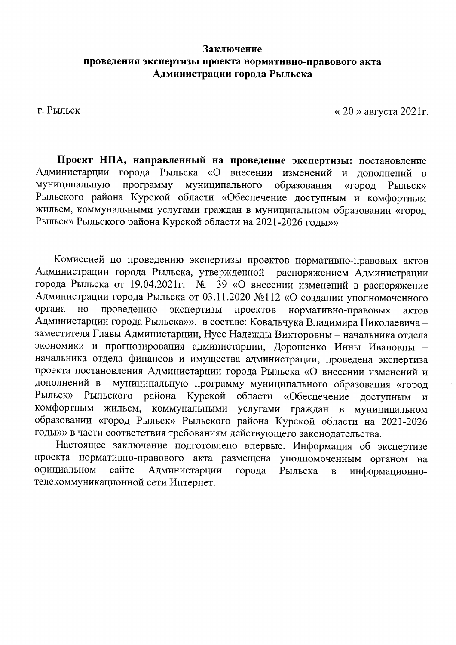## Заключение проведения экспертизы проекта нормативно-правового акта Администрации города Рыльска

г. Рыльск

« 20 » августа 2021 г.

Проект НПА, направленный на проведение экспертизы: постановление Администарции города Рыльска «О внесении изменений и дополнений в муниципальную образования программу муниципального «город **Рыльск»** Рыльского района Курской области «Обеспечение доступным и комфортным жильем, коммунальными услугами граждан в муниципальном образовании «город Рыльск» Рыльского района Курской области на 2021-2026 годы»

Комиссией по проведению экспертизы проектов нормативно-правовых актов Администрации города Рыльска, утвержденной распоряжением Администрации города Рыльска от 19.04.2021г. № 39 «О внесении изменений в распоряжение Администрации города Рыльска от 03.11.2020 №112 «О создании уполномоченного органа  $\overline{10}$ проведению экспертизы проектов нормативно-правовых актов Администарции города Рыльска»», в составе: Ковальчука Владимира Николаевича заместителя Главы Администарции, Нусс Надежды Викторовны - начальника отдела экономики и прогнозирования администарции, Дорошенко Инны Ивановны начальника отдела финансов и имущества администрации, проведена экспертиза проекта постановления Администарции города Рыльска «О внесении изменений и муниципальную программу муниципального образования «город дополнений в Рыльск» Рыльского района Курской области «Обеспечение доступным  $\mathbf{M}$ комфортным жильем, коммунальными услугами граждан в муниципальном образовании «город Рыльск» Рыльского района Курской области на 2021-2026 годы»» в части соответствия требованиям действующего законодательства.

Настоящее заключение подготовлено впервые. Информация об экспертизе проекта нормативно-правового акта размещена уполномоченным органом на официальном сайте Администарции информационногорода Рыльска  $\overline{B}$ телекоммуникационной сети Интернет.